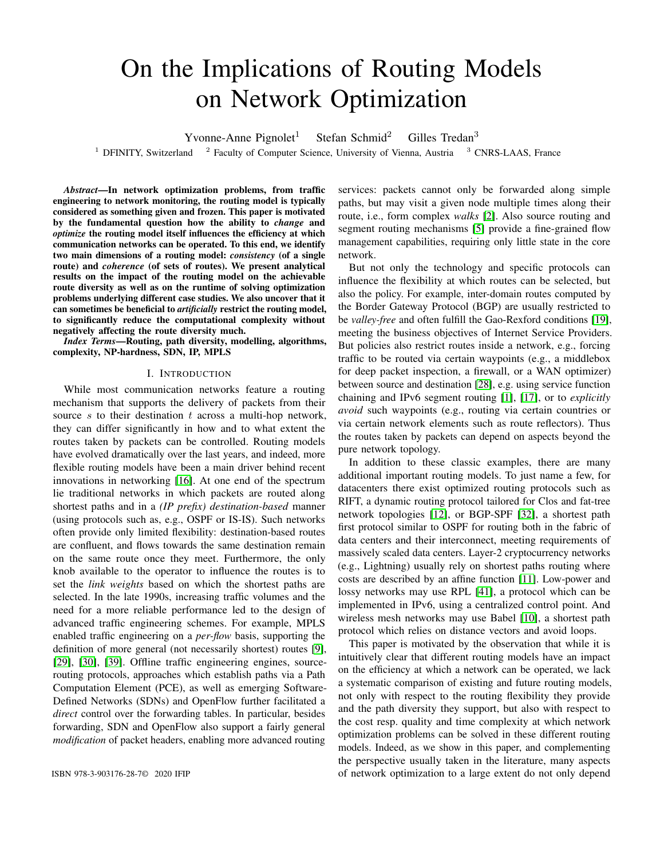# On the Implications of Routing Models on Network Optimization

Yvonne-Anne Pignolet<sup>1</sup> Stefan Schmid<sup>2</sup> Gilles Tredan<sup>3</sup>

<sup>1</sup> DFINITY, Switzerland  $^{-2}$  Faculty of Computer Science, University of Vienna, Austria  $^{-3}$  CNRS-LAAS, France

*Abstract*—In network optimization problems, from traffic engineering to network monitoring, the routing model is typically considered as something given and frozen. This paper is motivated by the fundamental question how the ability to *change* and *optimize* the routing model itself influences the efficiency at which communication networks can be operated. To this end, we identify two main dimensions of a routing model: *consistency* (of a single route) and *coherence* (of sets of routes). We present analytical results on the impact of the routing model on the achievable route diversity as well as on the runtime of solving optimization problems underlying different case studies. We also uncover that it can sometimes be beneficial to *artificially* restrict the routing model, to significantly reduce the computational complexity without negatively affecting the route diversity much.

*Index Terms*—Routing, path diversity, modelling, algorithms, complexity, NP-hardness, SDN, IP, MPLS

#### I. INTRODUCTION

While most communication networks feature a routing mechanism that supports the delivery of packets from their source s to their destination  $t$  across a multi-hop network, they can differ significantly in how and to what extent the routes taken by packets can be controlled. Routing models have evolved dramatically over the last years, and indeed, more flexible routing models have been a main driver behind recent innovations in networking [\[16\]](#page-11-0). At one end of the spectrum lie traditional networks in which packets are routed along shortest paths and in a *(IP prefix) destination-based* manner (using protocols such as, e.g., OSPF or IS-IS). Such networks often provide only limited flexibility: destination-based routes are confluent, and flows towards the same destination remain on the same route once they meet. Furthermore, the only knob available to the operator to influence the routes is to set the *link weights* based on which the shortest paths are selected. In the late 1990s, increasing traffic volumes and the need for a more reliable performance led to the design of advanced traffic engineering schemes. For example, MPLS enabled traffic engineering on a *per-flow* basis, supporting the definition of more general (not necessarily shortest) routes [\[9\]](#page-11-1), [\[29\]](#page-11-2), [\[30\]](#page-11-3), [\[39\]](#page-12-0). Offline traffic engineering engines, sourcerouting protocols, approaches which establish paths via a Path Computation Element (PCE), as well as emerging Software-Defined Networks (SDNs) and OpenFlow further facilitated a *direct* control over the forwarding tables. In particular, besides forwarding, SDN and OpenFlow also support a fairly general *modification* of packet headers, enabling more advanced routing

services: packets cannot only be forwarded along simple paths, but may visit a given node multiple times along their route, i.e., form complex *walks* [\[2\]](#page-11-4). Also source routing and segment routing mechanisms [\[5\]](#page-11-5) provide a fine-grained flow management capabilities, requiring only little state in the core network.

But not only the technology and specific protocols can influence the flexibility at which routes can be selected, but also the policy. For example, inter-domain routes computed by the Border Gateway Protocol (BGP) are usually restricted to be *valley-free* and often fulfill the Gao-Rexford conditions [\[19\]](#page-11-6), meeting the business objectives of Internet Service Providers. But policies also restrict routes inside a network, e.g., forcing traffic to be routed via certain waypoints (e.g., a middlebox for deep packet inspection, a firewall, or a WAN optimizer) between source and destination [\[28\]](#page-11-7), e.g. using service function chaining and IPv6 segment routing [\[1\]](#page-11-8), [\[17\]](#page-11-9), or to *explicitly avoid* such waypoints (e.g., routing via certain countries or via certain network elements such as route reflectors). Thus the routes taken by packets can depend on aspects beyond the pure network topology.

In addition to these classic examples, there are many additional important routing models. To just name a few, for datacenters there exist optimized routing protocols such as RIFT, a dynamic routing protocol tailored for Clos and fat-tree network topologies [\[12\]](#page-11-10), or BGP-SPF [\[32\]](#page-11-11), a shortest path first protocol similar to OSPF for routing both in the fabric of data centers and their interconnect, meeting requirements of massively scaled data centers. Layer-2 cryptocurrency networks (e.g., Lightning) usually rely on shortest paths routing where costs are described by an affine function [\[11\]](#page-11-12). Low-power and lossy networks may use RPL [\[41\]](#page-12-1), a protocol which can be implemented in IPv6, using a centralized control point. And wireless mesh networks may use Babel [\[10\]](#page-11-13), a shortest path protocol which relies on distance vectors and avoid loops.

This paper is motivated by the observation that while it is intuitively clear that different routing models have an impact on the efficiency at which a network can be operated, we lack a systematic comparison of existing and future routing models, not only with respect to the routing flexibility they provide and the path diversity they support, but also with respect to the cost resp. quality and time complexity at which network optimization problems can be solved in these different routing models. Indeed, as we show in this paper, and complementing the perspective usually taken in the literature, many aspects ISBN 978-3-903176-28-7© 2020 IFIP of network optimization to a large extent do not only depend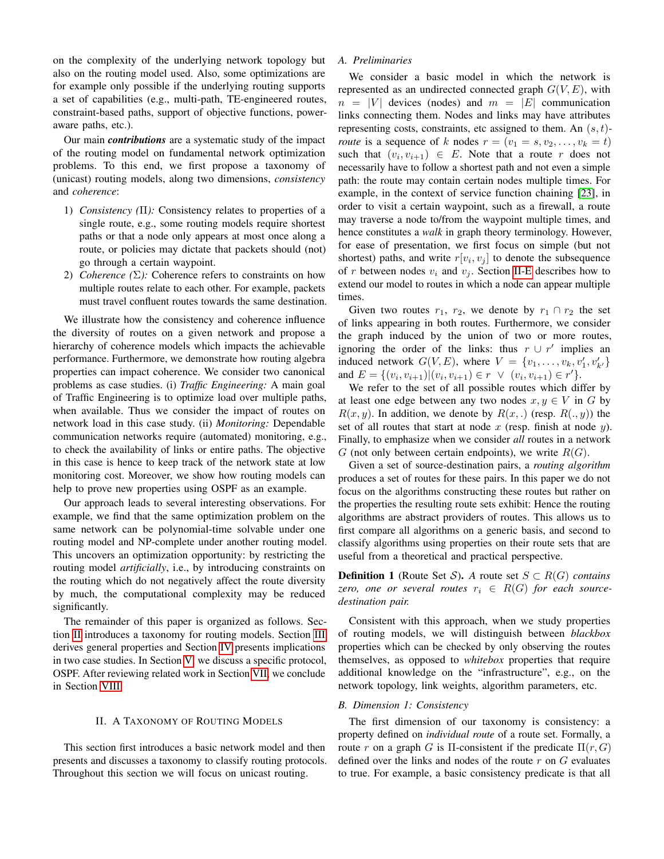on the complexity of the underlying network topology but also on the routing model used. Also, some optimizations are for example only possible if the underlying routing supports a set of capabilities (e.g., multi-path, TE-engineered routes, constraint-based paths, support of objective functions, poweraware paths, etc.).

Our main *contributions* are a systematic study of the impact of the routing model on fundamental network optimization problems. To this end, we first propose a taxonomy of (unicast) routing models, along two dimensions, *consistency* and *coherence*:

- 1) *Consistency (*Π*):* Consistency relates to properties of a single route, e.g., some routing models require shortest paths or that a node only appears at most once along a route, or policies may dictate that packets should (not) go through a certain waypoint.
- 2) *Coherence (*Σ*):* Coherence refers to constraints on how multiple routes relate to each other. For example, packets must travel confluent routes towards the same destination.

We illustrate how the consistency and coherence influence the diversity of routes on a given network and propose a hierarchy of coherence models which impacts the achievable performance. Furthermore, we demonstrate how routing algebra properties can impact coherence. We consider two canonical problems as case studies. (i) *Traffic Engineering:* A main goal of Traffic Engineering is to optimize load over multiple paths, when available. Thus we consider the impact of routes on network load in this case study. (ii) *Monitoring:* Dependable communication networks require (automated) monitoring, e.g., to check the availability of links or entire paths. The objective in this case is hence to keep track of the network state at low monitoring cost. Moreover, we show how routing models can help to prove new properties using OSPF as an example.

Our approach leads to several interesting observations. For example, we find that the same optimization problem on the same network can be polynomial-time solvable under one routing model and NP-complete under another routing model. This uncovers an optimization opportunity: by restricting the routing model *artificially*, i.e., by introducing constraints on the routing which do not negatively affect the route diversity by much, the computational complexity may be reduced significantly.

The remainder of this paper is organized as follows. Section [II](#page-1-0) introduces a taxonomy for routing models. Section [III](#page-4-0) derives general properties and Section [IV](#page-7-0) presents implications in two case studies. In Section [V,](#page-8-0) we discuss a specific protocol, OSPF. After reviewing related work in Section [VII,](#page-10-0) we conclude in Section [VIII.](#page-11-14)

#### II. A TAXONOMY OF ROUTING MODELS

<span id="page-1-0"></span>This section first introduces a basic network model and then presents and discusses a taxonomy to classify routing protocols. Throughout this section we will focus on unicast routing.

# *A. Preliminaries*

We consider a basic model in which the network is represented as an undirected connected graph  $G(V, E)$ , with  $n = |V|$  devices (nodes) and  $m = |E|$  communication links connecting them. Nodes and links may have attributes representing costs, constraints, etc assigned to them. An  $(s, t)$ *route* is a sequence of k nodes  $r = (v_1 = s, v_2, \dots, v_k = t)$ such that  $(v_i, v_{i+1}) \in E$ . Note that a route r does not necessarily have to follow a shortest path and not even a simple path: the route may contain certain nodes multiple times. For example, in the context of service function chaining [\[23\]](#page-11-15), in order to visit a certain waypoint, such as a firewall, a route may traverse a node to/from the waypoint multiple times, and hence constitutes a *walk* in graph theory terminology. However, for ease of presentation, we first focus on simple (but not shortest) paths, and write  $r[v_i, v_j]$  to denote the subsequence of r between nodes  $v_i$  and  $v_j$ . Section [II-E](#page-3-0) describes how to extend our model to routes in which a node can appear multiple times.

Given two routes  $r_1$ ,  $r_2$ , we denote by  $r_1 \cap r_2$  the set of links appearing in both routes. Furthermore, we consider the graph induced by the union of two or more routes, ignoring the order of the links: thus  $r \cup r'$  implies an induced network  $G(V, E)$ , where  $V = \{v_1, \ldots, v_k, v'_1, v'_{k'}\}$ and  $E = \{(v_i, v_{i+1}) | (v_i, v_{i+1}) \in r \lor (v_i, v_{i+1}) \in r'\}.$ 

We refer to the set of all possible routes which differ by at least one edge between any two nodes  $x, y \in V$  in G by  $R(x, y)$ . In addition, we denote by  $R(x, z)$  (resp.  $R(z, y)$ ) the set of all routes that start at node  $x$  (resp. finish at node  $y$ ). Finally, to emphasize when we consider *all* routes in a network G (not only between certain endpoints), we write  $R(G)$ .

Given a set of source-destination pairs, a *routing algorithm* produces a set of routes for these pairs. In this paper we do not focus on the algorithms constructing these routes but rather on the properties the resulting route sets exhibit: Hence the routing algorithms are abstract providers of routes. This allows us to first compare all algorithms on a generic basis, and second to classify algorithms using properties on their route sets that are useful from a theoretical and practical perspective.

**Definition 1** (Route Set S). A route set  $S \subset R(G)$  *contains zero, one or several routes*  $r_i \in R(G)$  *for each sourcedestination pair.*

Consistent with this approach, when we study properties of routing models, we will distinguish between *blackbox* properties which can be checked by only observing the routes themselves, as opposed to *whitebox* properties that require additional knowledge on the "infrastructure", e.g., on the network topology, link weights, algorithm parameters, etc.

## *B. Dimension 1: Consistency*

The first dimension of our taxonomy is consistency: a property defined on *individual route* of a route set. Formally, a route r on a graph G is  $\Pi$ -consistent if the predicate  $\Pi(r, G)$ defined over the links and nodes of the route  $r$  on  $G$  evaluates to true. For example, a basic consistency predicate is that all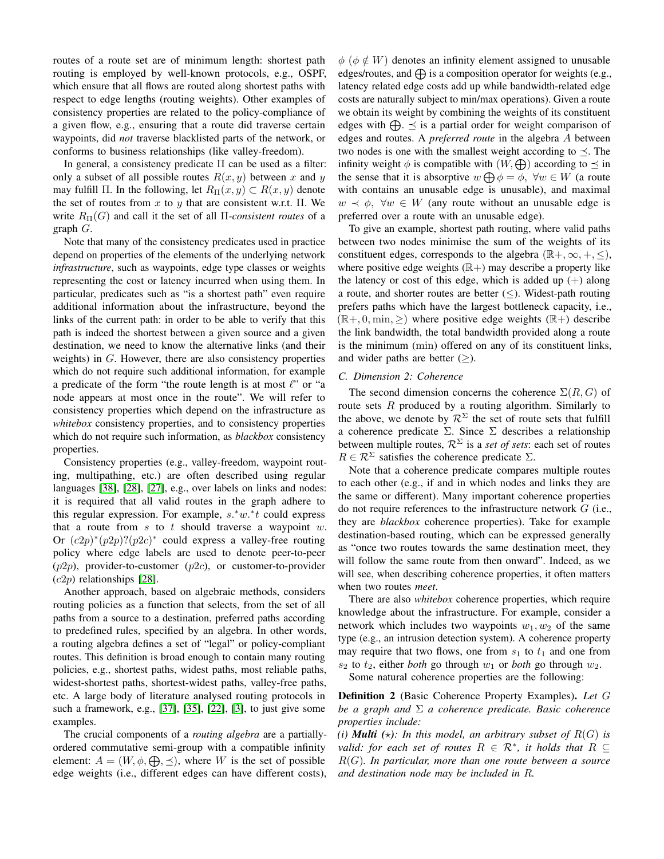routes of a route set are of minimum length: shortest path routing is employed by well-known protocols, e.g., OSPF, which ensure that all flows are routed along shortest paths with respect to edge lengths (routing weights). Other examples of consistency properties are related to the policy-compliance of a given flow, e.g., ensuring that a route did traverse certain waypoints, did *not* traverse blacklisted parts of the network, or conforms to business relationships (like valley-freedom).

In general, a consistency predicate Π can be used as a filter: only a subset of all possible routes  $R(x, y)$  between x and y may fulfill Π. In the following, let  $R_{\Pi}(x, y) \subset R(x, y)$  denote the set of routes from  $x$  to  $y$  that are consistent w.r.t.  $\Pi$ . We write  $R_{\Pi}(G)$  and call it the set of all  $\Pi$ -consistent routes of a graph  $G$ .

Note that many of the consistency predicates used in practice depend on properties of the elements of the underlying network *infrastructure*, such as waypoints, edge type classes or weights representing the cost or latency incurred when using them. In particular, predicates such as "is a shortest path" even require additional information about the infrastructure, beyond the links of the current path: in order to be able to verify that this path is indeed the shortest between a given source and a given destination, we need to know the alternative links (and their weights) in  $G$ . However, there are also consistency properties which do not require such additional information, for example a predicate of the form "the route length is at most  $\ell$ " or "a node appears at most once in the route". We will refer to consistency properties which depend on the infrastructure as *whitebox* consistency properties, and to consistency properties which do not require such information, as *blackbox* consistency properties.

Consistency properties (e.g., valley-freedom, waypoint routing, multipathing, etc.) are often described using regular languages [\[38\]](#page-12-2), [\[28\]](#page-11-7), [\[27\]](#page-11-16), e.g., over labels on links and nodes: it is required that all valid routes in the graph adhere to this regular expression. For example,  $s.*w.*t$  could express that a route from  $s$  to  $t$  should traverse a waypoint  $w$ . Or  $(c2p)^*(p2p)$ ? $(p2c)^*$  could express a valley-free routing policy where edge labels are used to denote peer-to-peer  $(p2p)$ , provider-to-customer  $(p2c)$ , or customer-to-provider  $(c2p)$  relationships [\[28\]](#page-11-7).

Another approach, based on algebraic methods, considers routing policies as a function that selects, from the set of all paths from a source to a destination, preferred paths according to predefined rules, specified by an algebra. In other words, a routing algebra defines a set of "legal" or policy-compliant routes. This definition is broad enough to contain many routing policies, e.g., shortest paths, widest paths, most reliable paths, widest-shortest paths, shortest-widest paths, valley-free paths, etc. A large body of literature analysed routing protocols in such a framework, e.g., [\[37\]](#page-12-3), [\[35\]](#page-12-4), [\[22\]](#page-11-17), [\[3\]](#page-11-18), to just give some examples.

The crucial components of a *routing algebra* are a partiallyordered commutative semi-group with a compatible infinity element:  $A = (W, \phi, \bigoplus, \preceq)$ , where W is the set of possible edge weights (i.e., different edges can have different costs),

 $\phi$  ( $\phi \notin W$ ) denotes an infinity element assigned to unusable edges/routes, and  $\bigoplus$  is a composition operator for weights (e.g., latency related edge costs add up while bandwidth-related edge costs are naturally subject to min/max operations). Given a route we obtain its weight by combining the weights of its constituent edges with  $\bigoplus$ .  $\preceq$  is a partial order for weight comparison of edges and routes. A *preferred route* in the algebra A between two nodes is one with the smallest weight according to  $\prec$ . The infinity weight  $\phi$  is compatible with  $(W, \bigoplus)$  according to  $\preceq$  in the sense that it is absorptive  $w \bigoplus \phi = \phi$ ,  $\forall w \in W$  (a route with contains an unusable edge is unusable), and maximal  $w \prec \phi$ ,  $\forall w \in W$  (any route without an unusable edge is preferred over a route with an unusable edge).

To give an example, shortest path routing, where valid paths between two nodes minimise the sum of the weights of its constituent edges, corresponds to the algebra  $(\mathbb{R}^+, \infty, +, \leq),$ where positive edge weights  $(\mathbb{R}+)$  may describe a property like the latency or cost of this edge, which is added up  $(+)$  along a route, and shorter routes are better  $(\le)$ . Widest-path routing prefers paths which have the largest bottleneck capacity, i.e.,  $(\mathbb{R}+, 0, \min, \geq)$  where positive edge weights  $(\mathbb{R}+)$  describe the link bandwidth, the total bandwidth provided along a route is the minimum (min) offered on any of its constituent links, and wider paths are better  $(\geq)$ .

## *C. Dimension 2: Coherence*

The second dimension concerns the coherence  $\Sigma(R, G)$  of route sets  $R$  produced by a routing algorithm. Similarly to the above, we denote by  $\mathcal{R}^{\Sigma}$  the set of route sets that fulfill a coherence predicate Σ. Since Σ describes a relationship between multiple routes,  $\mathcal{R}^{\Sigma}$  is a *set of sets*: each set of routes  $R \in \mathcal{R}^{\Sigma}$  satisfies the coherence predicate  $\Sigma$ .

Note that a coherence predicate compares multiple routes to each other (e.g., if and in which nodes and links they are the same or different). Many important coherence properties do not require references to the infrastructure network  $G$  (i.e., they are *blackbox* coherence properties). Take for example destination-based routing, which can be expressed generally as "once two routes towards the same destination meet, they will follow the same route from then onward". Indeed, as we will see, when describing coherence properties, it often matters when two routes *meet*.

There are also *whitebox* coherence properties, which require knowledge about the infrastructure. For example, consider a network which includes two waypoints  $w_1, w_2$  of the same type (e.g., an intrusion detection system). A coherence property may require that two flows, one from  $s_1$  to  $t_1$  and one from  $s_2$  to  $t_2$ , either *both* go through  $w_1$  or *both* go through  $w_2$ .

Some natural coherence properties are the following:

Definition 2 (Basic Coherence Property Examples). *Let* G *be a graph and* Σ *a coherence predicate. Basic coherence properties include:*

*(i) Multi*  $(\star)$ *:* In this model, an arbitrary subset of  $R(G)$  is *valid: for each set of routes*  $R \in \mathcal{R}^*$ *, it holds that*  $R \subseteq$ R(G)*. In particular, more than one route between a source and destination node may be included in* R*.*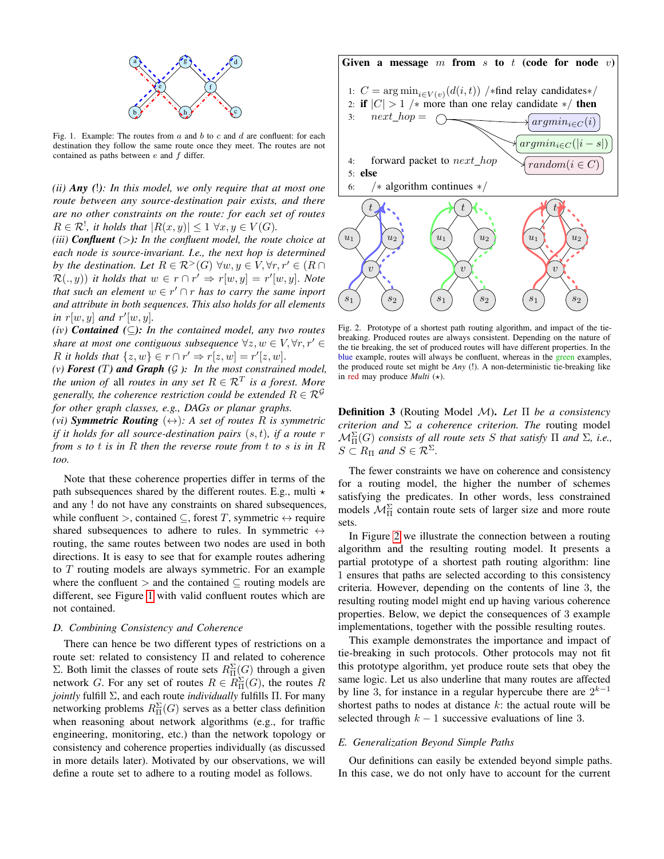

Fig. 1. Example: The routes from  $a$  and  $b$  to  $c$  and  $d$  are confluent: for each destination they follow the same route once they meet. The routes are not contained as paths between  $e$  and  $f$  differ.

*(ii) Any (*!*): In this model, we only require that at most one route between any source-destination pair exists, and there are no other constraints on the route: for each set of routes*  $R \in \mathcal{R}^!$ , it holds that  $|R(x, y)| \leq 1 \,\forall x, y \in V(G)$ .

*(iii) Confluent (*>*): In the confluent model, the route choice at each node is source-invariant. I.e., the next hop is determined by the destination. Let*  $R \in \mathcal{R}^>(G)$   $\forall w, y \in V, \forall r, r' \in (R \cap \mathcal{R})$  $\mathcal{R}(.,y)$  *it holds that*  $w \in r \cap r' \Rightarrow r[w, y] = r'[w, y]$ . Note *that such an element*  $w \in r' \cap r$  *has to carry the same inport and attribute in both sequences. This also holds for all elements* in  $r[w, y]$  and  $r'[w, y]$ .

*(iv) Contained (*⊆*): In the contained model, any two routes share at most one contiguous subsequence*  $\forall z, w \in V, \forall r, r' \in$ R it holds that  $\{z, w\} \in r \cap r' \Rightarrow r[z, w] = r'[z, w]$ .

*(v) Forest (*T*) and Graph (*G *): In the most constrained model, the union of all routes in any set*  $R \in \mathcal{R}^T$  *is a forest. More generally, the coherence restriction could be extended*  $R \in \mathcal{R}^{\mathcal{G}}$ *for other graph classes, e.g., DAGs or planar graphs.*

*(vi)* **Symmetric Routing**  $(\leftrightarrow)$ : A set of routes R is symmetric *if it holds for all source-destination pairs* (s, t)*, if a route* r *from* s *to* t *is in* R *then the reverse route from* t *to* s *is in* R *too.*

Note that these coherence properties differ in terms of the path subsequences shared by the different routes. E.g., multi  $\star$ and any ! do not have any constraints on shared subsequences, while confluent >, contained  $\subseteq$ , forest T, symmetric  $\leftrightarrow$  require shared subsequences to adhere to rules. In symmetric  $\leftrightarrow$ routing, the same routes between two nodes are used in both directions. It is easy to see that for example routes adhering to T routing models are always symmetric. For an example where the confluent  $\geq$  and the contained  $\subseteq$  routing models are different, see Figure [1](#page-3-1) with valid confluent routes which are not contained.

## *D. Combining Consistency and Coherence*

There can hence be two different types of restrictions on a route set: related to consistency Π and related to coherence Σ. Both limit the classes of route sets  $R_{\Pi}^{\Sigma}(G)$  through a given network G. For any set of routes  $R \in R_{\Pi}^{\Sigma}(G)$ , the routes R *jointly* fulfill Σ, and each route *individually* fulfills Π. For many networking problems  $R_{\Pi}^{\Sigma}(G)$  serves as a better class definition when reasoning about network algorithms (e.g., for traffic engineering, monitoring, etc.) than the network topology or consistency and coherence properties individually (as discussed in more details later). Motivated by our observations, we will define a route set to adhere to a routing model as follows.

<span id="page-3-1"></span>

<span id="page-3-2"></span>Fig. 2. Prototype of a shortest path routing algorithm, and impact of the tiebreaking. Produced routes are always consistent. Depending on the nature of the tie breaking, the set of produced routes will have different properties. In the blue example, routes will always be confluent, whereas in the green examples, the produced route set might be *Any* (!). A non-deterministic tie-breaking like in red may produce *Multi*  $(\star)$ .

Definition 3 (Routing Model M). *Let* Π *be a consistency criterion and* Σ *a coherence criterion. The* routing model  $\mathcal{M}_{\Pi}^{\Sigma}(G)$  *consists of all route sets* S *that satisfy*  $\Pi$  *and*  $\Sigma$ *, i.e.,*  $S \subset R_{\Pi}$  and  $S \in \mathcal{R}^{\Sigma}$ .

The fewer constraints we have on coherence and consistency for a routing model, the higher the number of schemes satisfying the predicates. In other words, less constrained models  $\mathcal{M}_{\Pi}^{\Sigma}$  contain route sets of larger size and more route sets.

In Figure [2](#page-3-2) we illustrate the connection between a routing algorithm and the resulting routing model. It presents a partial prototype of a shortest path routing algorithm: line 1 ensures that paths are selected according to this consistency criteria. However, depending on the contents of line 3, the resulting routing model might end up having various coherence properties. Below, we depict the consequences of 3 example implementations, together with the possible resulting routes.

This example demonstrates the importance and impact of tie-breaking in such protocols. Other protocols may not fit this prototype algorithm, yet produce route sets that obey the same logic. Let us also underline that many routes are affected by line 3, for instance in a regular hypercube there are  $2^{k-1}$ shortest paths to nodes at distance  $k$ : the actual route will be selected through  $k - 1$  successive evaluations of line 3.

## <span id="page-3-0"></span>*E. Generalization Beyond Simple Paths*

Our definitions can easily be extended beyond simple paths. In this case, we do not only have to account for the current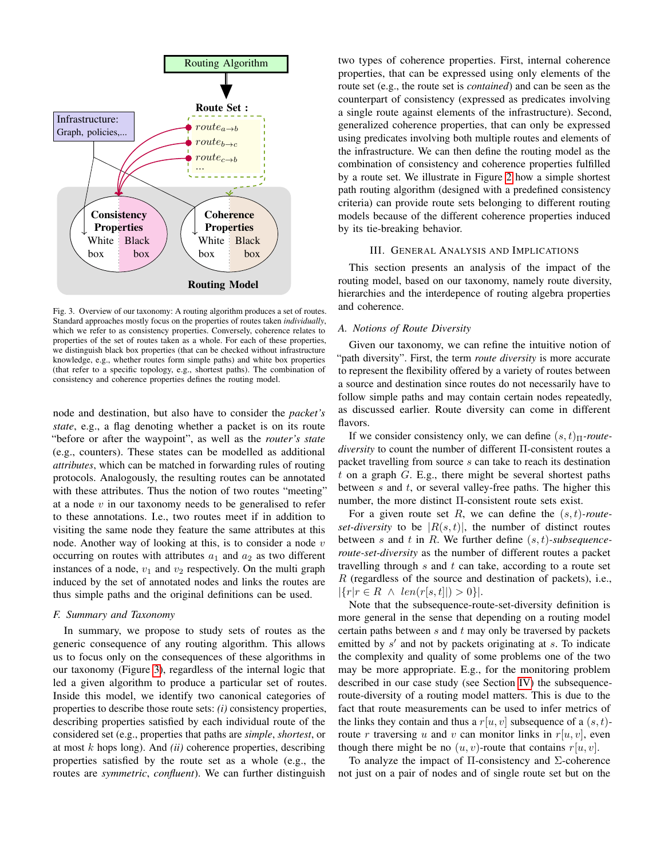

Fig. 3. Overview of our taxonomy: A routing algorithm produces a set of routes. Standard approaches mostly focus on the properties of routes taken *individually*, which we refer to as consistency properties. Conversely, coherence relates to properties of the set of routes taken as a whole. For each of these properties, we distinguish black box properties (that can be checked without infrastructure knowledge, e.g., whether routes form simple paths) and white box properties (that refer to a specific topology, e.g., shortest paths). The combination of consistency and coherence properties defines the routing model.

node and destination, but also have to consider the *packet's state*, e.g., a flag denoting whether a packet is on its route "before or after the waypoint", as well as the *router's state* (e.g., counters). These states can be modelled as additional *attributes*, which can be matched in forwarding rules of routing protocols. Analogously, the resulting routes can be annotated with these attributes. Thus the notion of two routes "meeting" at a node  $v$  in our taxonomy needs to be generalised to refer to these annotations. I.e., two routes meet if in addition to visiting the same node they feature the same attributes at this node. Another way of looking at this, is to consider a node  $v$ occurring on routes with attributes  $a_1$  and  $a_2$  as two different instances of a node,  $v_1$  and  $v_2$  respectively. On the multi graph induced by the set of annotated nodes and links the routes are thus simple paths and the original definitions can be used.

#### *F. Summary and Taxonomy*

In summary, we propose to study sets of routes as the generic consequence of any routing algorithm. This allows us to focus only on the consequences of these algorithms in our taxonomy (Figure [3\)](#page-4-1), regardless of the internal logic that led a given algorithm to produce a particular set of routes. Inside this model, we identify two canonical categories of properties to describe those route sets: *(i)* consistency properties, describing properties satisfied by each individual route of the considered set (e.g., properties that paths are *simple*, *shortest*, or at most k hops long). And *(ii)* coherence properties, describing properties satisfied by the route set as a whole (e.g., the routes are *symmetric*, *confluent*). We can further distinguish

two types of coherence properties. First, internal coherence properties, that can be expressed using only elements of the route set (e.g., the route set is *contained*) and can be seen as the counterpart of consistency (expressed as predicates involving a single route against elements of the infrastructure). Second, generalized coherence properties, that can only be expressed using predicates involving both multiple routes and elements of the infrastructure. We can then define the routing model as the combination of consistency and coherence properties fulfilled by a route set. We illustrate in Figure [2](#page-3-2) how a simple shortest path routing algorithm (designed with a predefined consistency criteria) can provide route sets belonging to different routing models because of the different coherence properties induced by its tie-breaking behavior.

## III. GENERAL ANALYSIS AND IMPLICATIONS

<span id="page-4-1"></span><span id="page-4-0"></span>This section presents an analysis of the impact of the routing model, based on our taxonomy, namely route diversity, hierarchies and the interdepence of routing algebra properties and coherence.

#### *A. Notions of Route Diversity*

Given our taxonomy, we can refine the intuitive notion of "path diversity". First, the term *route diversity* is more accurate to represent the flexibility offered by a variety of routes between a source and destination since routes do not necessarily have to follow simple paths and may contain certain nodes repeatedly, as discussed earlier. Route diversity can come in different flavors.

If we consider consistency only, we can define  $(s, t)$ <sub>Π</sub>-route*diversity* to count the number of different Π-consistent routes a packet travelling from source s can take to reach its destination t on a graph  $G$ . E.g., there might be several shortest paths between  $s$  and  $t$ , or several valley-free paths. The higher this number, the more distinct Π-consistent route sets exist.

For a given route set  $R$ , we can define the  $(s, t)$ *-routeset-diversity* to be  $|R(s,t)|$ , the number of distinct routes between s and t in R. We further define (s, t)*-subsequenceroute-set-diversity* as the number of different routes a packet travelling through  $s$  and  $t$  can take, according to a route set  $R$  (regardless of the source and destination of packets), i.e.,  $|\{r|r \in R \land len(r[s, t]|) > 0\}|.$ 

Note that the subsequence-route-set-diversity definition is more general in the sense that depending on a routing model certain paths between  $s$  and  $t$  may only be traversed by packets emitted by  $s'$  and not by packets originating at  $s$ . To indicate the complexity and quality of some problems one of the two may be more appropriate. E.g., for the monitoring problem described in our case study (see Section [IV\)](#page-7-0) the subsequenceroute-diversity of a routing model matters. This is due to the fact that route measurements can be used to infer metrics of the links they contain and thus a  $r[u, v]$  subsequence of a  $(s, t)$ route r traversing u and v can monitor links in  $r[u, v]$ , even though there might be no  $(u, v)$ -route that contains  $r[u, v]$ .

To analyze the impact of  $\Pi$ -consistency and  $\Sigma$ -coherence not just on a pair of nodes and of single route set but on the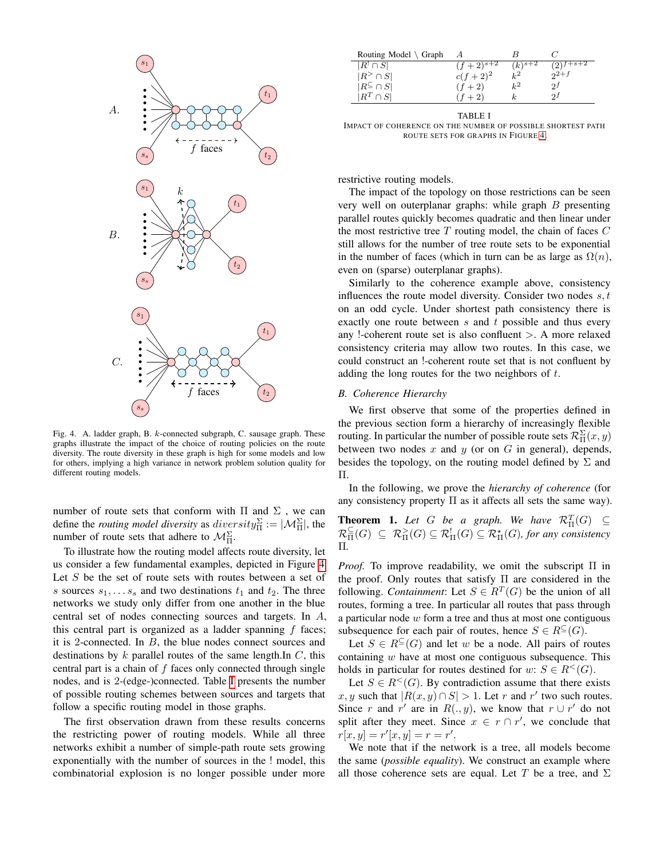

Fig. 4. A. ladder graph, B. k-connected subgraph, C. sausage graph. These graphs illustrate the impact of the choice of routing policies on the route diversity. The route diversity in these graph is high for some models and low for others, implying a high variance in network problem solution quality for different routing models.

number of route sets that conform with  $\Pi$  and  $\Sigma$ , we can define the *routing model diversity* as  $diversity_{\Pi}^{\Sigma} := |\mathcal{M}_{\Pi}^{\Sigma}|$ , the number of route sets that adhere to  $\mathcal{M}_{\Pi}^{\Sigma}$ .

To illustrate how the routing model affects route diversity, let us consider a few fundamental examples, depicted in Figure [4.](#page-5-0) Let  $S$  be the set of route sets with routes between a set of s sources  $s_1, \ldots s_s$  and two destinations  $t_1$  and  $t_2$ . The three networks we study only differ from one another in the blue central set of nodes connecting sources and targets. In A, this central part is organized as a ladder spanning f faces; it is 2-connected. In B, the blue nodes connect sources and destinations by  $k$  parallel routes of the same length.In  $C$ , this central part is a chain of  $f$  faces only connected through single nodes, and is 2-(edge-)connected. Table [I](#page-5-1) presents the number of possible routing schemes between sources and targets that follow a specific routing model in those graphs.

The first observation drawn from these results concerns the restricting power of routing models. While all three networks exhibit a number of simple-path route sets growing exponentially with the number of sources in the ! model, this combinatorial explosion is no longer possible under more

<span id="page-5-1"></span>

| Routing Model $\setminus$ Graph |               |                      |           |
|---------------------------------|---------------|----------------------|-----------|
| $ R^! \cap S $                  | $(f+2)^{s+2}$ | $(k)^{s+2}$          | $+ s + 2$ |
| $ R^> \cap S $                  | $c(f+2)^2$    | $\iota$ <sup>2</sup> | $2+f$     |
| $ R^{\subseteq} \cap S $        | $f+2$         |                      | 91        |
| $^{\Gamma}\cap S^{\vert}$       |               | k.                   |           |
|                                 |               |                      |           |

TABLE I IMPACT OF COHERENCE ON THE NUMBER OF POSSIBLE SHORTEST PATH ROUTE SETS FOR GRAPHS IN FIGURE [4.](#page-5-0)

restrictive routing models.

The impact of the topology on those restrictions can be seen very well on outerplanar graphs: while graph  $B$  presenting parallel routes quickly becomes quadratic and then linear under the most restrictive tree  $T$  routing model, the chain of faces  $C$ still allows for the number of tree route sets to be exponential in the number of faces (which in turn can be as large as  $\Omega(n)$ , even on (sparse) outerplanar graphs).

Similarly to the coherence example above, consistency influences the route model diversity. Consider two nodes  $s, t$ on an odd cycle. Under shortest path consistency there is exactly one route between  $s$  and  $t$  possible and thus every any !-coherent route set is also confluent  $>$ . A more relaxed consistency criteria may allow two routes. In this case, we could construct an !-coherent route set that is not confluent by adding the long routes for the two neighbors of  $t$ .

#### *B. Coherence Hierarchy*

<span id="page-5-0"></span>We first observe that some of the properties defined in the previous section form a hierarchy of increasingly flexible routing. In particular the number of possible route sets  $\mathcal{R}^{\Sigma}_{\Pi}(x, y)$ between two nodes x and y (or on  $G$  in general), depends, besides the topology, on the routing model defined by  $\Sigma$  and Π.

In the following, we prove the *hierarchy of coherence* (for any consistency property  $\Pi$  as it affects all sets the same way).

<span id="page-5-2"></span>**Theorem 1.** Let G be a graph. We have  $\mathcal{R}^T_\Pi(G) \subseteq$  $\mathcal{R}_{\Pi}^{\subseteq}(G) \subseteq \mathcal{R}_{\Pi}^{\times}(G) \subseteq \mathcal{R}_{\Pi}^{\times}(G)$ , for any consistency Π*.*

*Proof.* To improve readability, we omit the subscript Π in the proof. Only routes that satisfy Π are considered in the following. *Containment*: Let  $S \in R<sup>T</sup>(G)$  be the union of all routes, forming a tree. In particular all routes that pass through a particular node  $w$  form a tree and thus at most one contiguous subsequence for each pair of routes, hence  $S \in R^{\subseteq}(G)$ .

Let  $S \in R^{\subseteq}(G)$  and let w be a node. All pairs of routes containing  $w$  have at most one contiguous subsequence. This holds in particular for routes destined for w:  $S \in R^{\lt}(G)$ .

Let  $S \in R^{\lt}(G)$ . By contradiction assume that there exists x, y such that  $|R(x, y) \cap S| > 1$ . Let r and r' two such routes. Since r and r' are in  $R(., y)$ , we know that  $r \cup r'$  do not split after they meet. Since  $x \in r \cap r'$ , we conclude that  $r[x, y] = r'[x, y] = r = r'.$ 

We note that if the network is a tree, all models become the same (*possible equality*). We construct an example where all those coherence sets are equal. Let T be a tree, and  $\Sigma$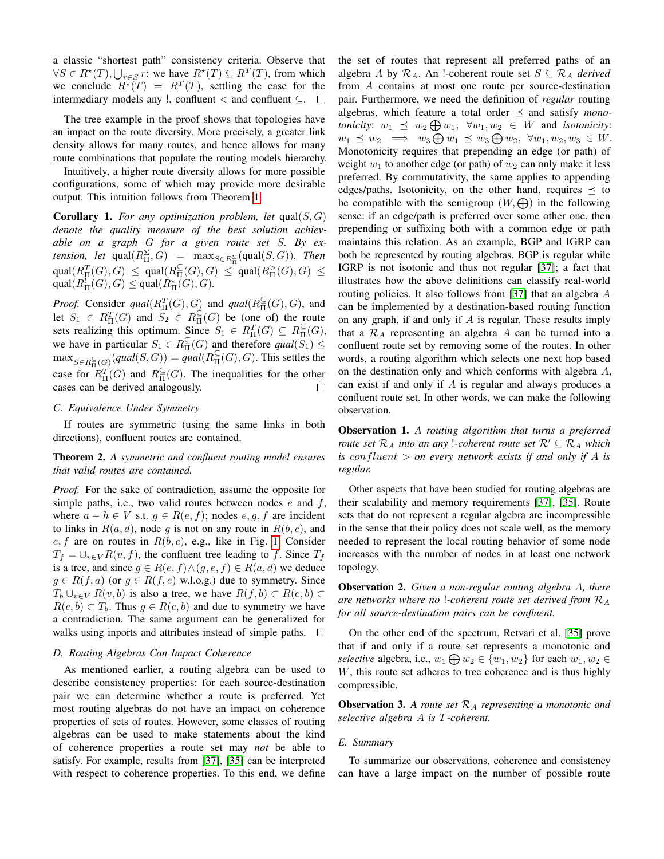a classic "shortest path" consistency criteria. Observe that  $\forall S \in R^*(T), \bigcup_{r \in S} r$ : we have  $R^*(T) \subseteq R^T(T)$ , from which we conclude  $R^*(T) = R^T(T)$ , settling the case for the intermediary models any !, confluent  $\leq$  and confluent  $\subseteq$ .  $\Box$ 

The tree example in the proof shows that topologies have an impact on the route diversity. More precisely, a greater link density allows for many routes, and hence allows for many route combinations that populate the routing models hierarchy.

Intuitively, a higher route diversity allows for more possible configurations, some of which may provide more desirable output. This intuition follows from Theorem [1.](#page-5-2)

<span id="page-6-0"></span>**Corollary 1.** For any optimization problem, let  $qual(S, G)$ *denote the quality measure of the best solution achievable on a graph* G *for a given route set* S*. By extension, let*  $\text{qual}(R_{\Pi}^{\Sigma}, G) = \max_{S \in R_{\Pi}^{\Sigma}} (\text{qual}(S, G))$ *. Then*  $\text{qual}(R^T_\Pi(G),G) \ \le \ \text{qual}(R^{\subseteq}_{\Pi}(G),G) \ \le \ \text{qual}(R^>_{\Pi}(G),G) \ \le$  $\text{qual}(R^!_{\Pi}(G), G) \leq \text{qual}(R^*_{\Pi}(G), G).$ 

*Proof.* Consider  $qual(R_{\Pi}^{T}(G), G)$  and  $qual(R_{\Pi}^{\subseteq}(G), G)$ , and let  $S_1 \in R_{\Pi}^T(G)$  and  $S_2 \in R_{\Pi}^{\subseteq}(G)$  be (one of) the route sets realizing this optimum. Since  $S_1 \in R_{\Pi}^T(G) \subseteq R_{\Pi}^{\subseteq}(G)$ , we have in particular  $S_1 \in R_{\Pi}^{\subseteq}(G)$  and therefore  $qual(S_1) \leq$  $\max_{S \in R^{\subseteq}_{\Pi}(G)}(qual(S, G)) = qual(R^{\subseteq}_{\Pi}(G), G)$ . This settles the case for  $R_{\Pi}^T(G)$  and  $R_{\Pi}^{\subseteq}(G)$ . The inequalities for the other cases can be derived analogously.

#### *C. Equivalence Under Symmetry*

If routes are symmetric (using the same links in both directions), confluent routes are contained.

# Theorem 2. *A symmetric and confluent routing model ensures that valid routes are contained.*

*Proof.* For the sake of contradiction, assume the opposite for simple paths, i.e., two valid routes between nodes  $e$  and  $f$ , where  $a - h \in V$  s.t.  $g \in R(e, f)$ ; nodes e, g, f are incident to links in  $R(a, d)$ , node g is not on any route in  $R(b, c)$ , and  $e, f$  are on routes in  $R(b, c)$ , e.g., like in Fig. [1.](#page-3-1) Consider  $T_f = \bigcup_{v \in V} R(v, f)$ , the confluent tree leading to f. Since  $T_f$ is a tree, and since  $g \in R(e, f) \land (g, e, f) \in R(a, d)$  we deduce  $g \in R(f, a)$  (or  $g \in R(f, e)$  w.l.o.g.) due to symmetry. Since  $T_b \cup_{v \in V} R(v, b)$  is also a tree, we have  $R(f, b) \subset R(e, b) \subset$  $R(c, b) \subset T_b$ . Thus  $g \in R(c, b)$  and due to symmetry we have a contradiction. The same argument can be generalized for walks using inports and attributes instead of simple paths.  $\Box$ 

## *D. Routing Algebras Can Impact Coherence*

As mentioned earlier, a routing algebra can be used to describe consistency properties: for each source-destination pair we can determine whether a route is preferred. Yet most routing algebras do not have an impact on coherence properties of sets of routes. However, some classes of routing algebras can be used to make statements about the kind of coherence properties a route set may *not* be able to satisfy. For example, results from [\[37\]](#page-12-3), [\[35\]](#page-12-4) can be interpreted with respect to coherence properties. To this end, we define the set of routes that represent all preferred paths of an algebra A by  $\mathcal{R}_A$ . An !-coherent route set  $S \subseteq \mathcal{R}_A$  *derived* from A contains at most one route per source-destination pair. Furthermore, we need the definition of *regular* routing algebras, which feature a total order  $\preceq$  and satisfy *monotonicity:*  $w_1 \preceq w_2 \bigoplus w_1$ ,  $\forall w_1, w_2 \in W$  and *isotonicity:*  $w_1 \preceq w_2 \implies w_3 \bigoplus w_1 \preceq w_3 \bigoplus w_2, \ \forall w_1, w_2, w_3 \in W.$ Monotonicity requires that prepending an edge (or path) of weight  $w_1$  to another edge (or path) of  $w_2$  can only make it less preferred. By commutativity, the same applies to appending edges/paths. Isotonicity, on the other hand, requires  $\preceq$  to be compatible with the semigroup  $(W, \bigoplus)$  in the following sense: if an edge/path is preferred over some other one, then prepending or suffixing both with a common edge or path maintains this relation. As an example, BGP and IGRP can both be represented by routing algebras. BGP is regular while IGRP is not isotonic and thus not regular [\[37\]](#page-12-3); a fact that illustrates how the above definitions can classify real-world routing policies. It also follows from [\[37\]](#page-12-3) that an algebra A can be implemented by a destination-based routing function on any graph, if and only if  $A$  is regular. These results imply that a  $\mathcal{R}_A$  representing an algebra A can be turned into a confluent route set by removing some of the routes. In other words, a routing algorithm which selects one next hop based on the destination only and which conforms with algebra A, can exist if and only if A is regular and always produces a confluent route set. In other words, we can make the following observation.

<span id="page-6-1"></span>Observation 1. *A routing algorithm that turns a preferred route set*  $\mathcal{R}_A$  *into an any !-coherent route set*  $\mathcal{R}' \subseteq \mathcal{R}_A$  *which is* confluent > *on every network exists if and only if* A *is regular.*

Other aspects that have been studied for routing algebras are their scalability and memory requirements [\[37\]](#page-12-3), [\[35\]](#page-12-4). Route sets that do not represent a regular algebra are incompressible in the sense that their policy does not scale well, as the memory needed to represent the local routing behavior of some node increases with the number of nodes in at least one network topology.

Observation 2. *Given a non-regular routing algebra* A*, there are networks where no* !*-coherent route set derived from* R<sup>A</sup> *for all source-destination pairs can be confluent.*

On the other end of the spectrum, Retvari et al. [\[35\]](#page-12-4) prove that if and only if a route set represents a monotonic and *selective* algebra, i.e.,  $w_1 \bigoplus w_2 \in \{w_1, w_2\}$  for each  $w_1, w_2 \in$ W, this route set adheres to tree coherence and is thus highly compressible.

Observation 3. *A route set* R<sup>A</sup> *representing a monotonic and selective algebra* A *is* T*-coherent.*

### *E. Summary*

To summarize our observations, coherence and consistency can have a large impact on the number of possible route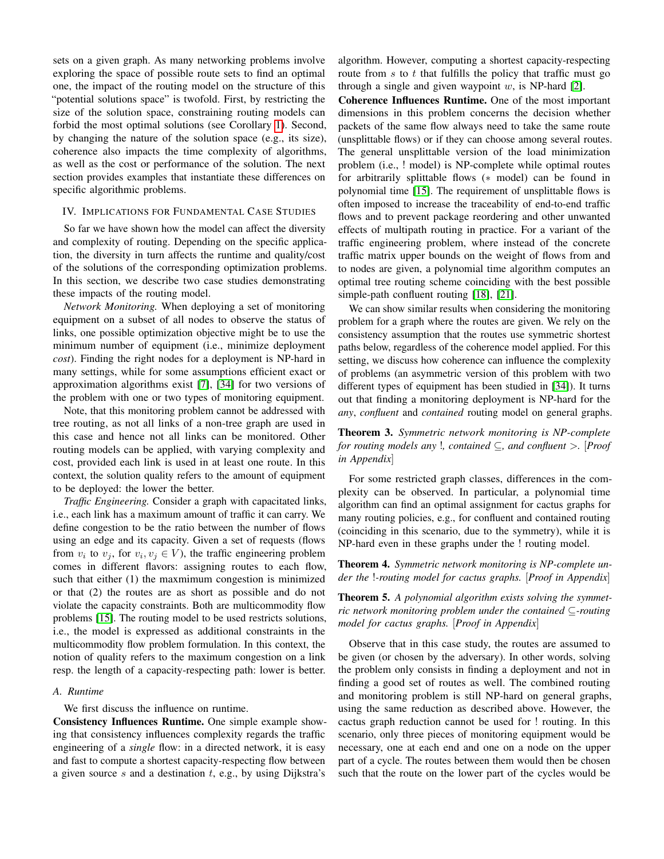sets on a given graph. As many networking problems involve exploring the space of possible route sets to find an optimal one, the impact of the routing model on the structure of this "potential solutions space" is twofold. First, by restricting the size of the solution space, constraining routing models can forbid the most optimal solutions (see Corollary [1\)](#page-6-0). Second, by changing the nature of the solution space (e.g., its size), coherence also impacts the time complexity of algorithms, as well as the cost or performance of the solution. The next section provides examples that instantiate these differences on specific algorithmic problems.

## <span id="page-7-0"></span>IV. IMPLICATIONS FOR FUNDAMENTAL CASE STUDIES

So far we have shown how the model can affect the diversity and complexity of routing. Depending on the specific application, the diversity in turn affects the runtime and quality/cost of the solutions of the corresponding optimization problems. In this section, we describe two case studies demonstrating these impacts of the routing model.

*Network Monitoring.* When deploying a set of monitoring equipment on a subset of all nodes to observe the status of links, one possible optimization objective might be to use the minimum number of equipment (i.e., minimize deployment *cost*). Finding the right nodes for a deployment is NP-hard in many settings, while for some assumptions efficient exact or approximation algorithms exist [\[7\]](#page-11-19), [\[34\]](#page-12-5) for two versions of the problem with one or two types of monitoring equipment.

Note, that this monitoring problem cannot be addressed with tree routing, as not all links of a non-tree graph are used in this case and hence not all links can be monitored. Other routing models can be applied, with varying complexity and cost, provided each link is used in at least one route. In this context, the solution quality refers to the amount of equipment to be deployed: the lower the better.

*Traffic Engineering.* Consider a graph with capacitated links, i.e., each link has a maximum amount of traffic it can carry. We define congestion to be the ratio between the number of flows using an edge and its capacity. Given a set of requests (flows from  $v_i$  to  $v_j$ , for  $v_i, v_j \in V$ ), the traffic engineering problem comes in different flavors: assigning routes to each flow, such that either (1) the maxmimum congestion is minimized or that (2) the routes are as short as possible and do not violate the capacity constraints. Both are multicommodity flow problems [\[15\]](#page-11-20). The routing model to be used restricts solutions, i.e., the model is expressed as additional constraints in the multicommodity flow problem formulation. In this context, the notion of quality refers to the maximum congestion on a link resp. the length of a capacity-respecting path: lower is better.

## *A. Runtime*

We first discuss the influence on runtime.

Consistency Influences Runtime. One simple example showing that consistency influences complexity regards the traffic engineering of a *single* flow: in a directed network, it is easy and fast to compute a shortest capacity-respecting flow between a given source s and a destination  $t$ , e.g., by using Dijkstra's

algorithm. However, computing a shortest capacity-respecting route from  $s$  to  $t$  that fulfills the policy that traffic must go through a single and given waypoint  $w$ , is NP-hard [\[2\]](#page-11-4).

Coherence Influences Runtime. One of the most important dimensions in this problem concerns the decision whether packets of the same flow always need to take the same route (unsplittable flows) or if they can choose among several routes. The general unsplittable version of the load minimization problem (i.e., ! model) is NP-complete while optimal routes for arbitrarily splittable flows (∗ model) can be found in polynomial time [\[15\]](#page-11-20). The requirement of unsplittable flows is often imposed to increase the traceability of end-to-end traffic flows and to prevent package reordering and other unwanted effects of multipath routing in practice. For a variant of the traffic engineering problem, where instead of the concrete traffic matrix upper bounds on the weight of flows from and to nodes are given, a polynomial time algorithm computes an optimal tree routing scheme coinciding with the best possible simple-path confluent routing [\[18\]](#page-11-21), [\[21\]](#page-11-22).

We can show similar results when considering the monitoring problem for a graph where the routes are given. We rely on the consistency assumption that the routes use symmetric shortest paths below, regardless of the coherence model applied. For this setting, we discuss how coherence can influence the complexity of problems (an asymmetric version of this problem with two different types of equipment has been studied in [\[34\]](#page-12-5)). It turns out that finding a monitoring deployment is NP-hard for the *any*, *confluent* and *contained* routing model on general graphs.

Theorem 3. *Symmetric network monitoring is NP-complete for routing models any* !*, contained* ⊆*, and confluent* >*.* [*Proof in Appendix*]

For some restricted graph classes, differences in the complexity can be observed. In particular, a polynomial time algorithm can find an optimal assignment for cactus graphs for many routing policies, e.g., for confluent and contained routing (coinciding in this scenario, due to the symmetry), while it is NP-hard even in these graphs under the ! routing model.

Theorem 4. *Symmetric network monitoring is NP-complete under the* !*-routing model for cactus graphs.* [*Proof in Appendix*]

Theorem 5. *A polynomial algorithm exists solving the symmetric network monitoring problem under the contained* ⊆*-routing model for cactus graphs.* [*Proof in Appendix*]

Observe that in this case study, the routes are assumed to be given (or chosen by the adversary). In other words, solving the problem only consists in finding a deployment and not in finding a good set of routes as well. The combined routing and monitoring problem is still NP-hard on general graphs, using the same reduction as described above. However, the cactus graph reduction cannot be used for ! routing. In this scenario, only three pieces of monitoring equipment would be necessary, one at each end and one on a node on the upper part of a cycle. The routes between them would then be chosen such that the route on the lower part of the cycles would be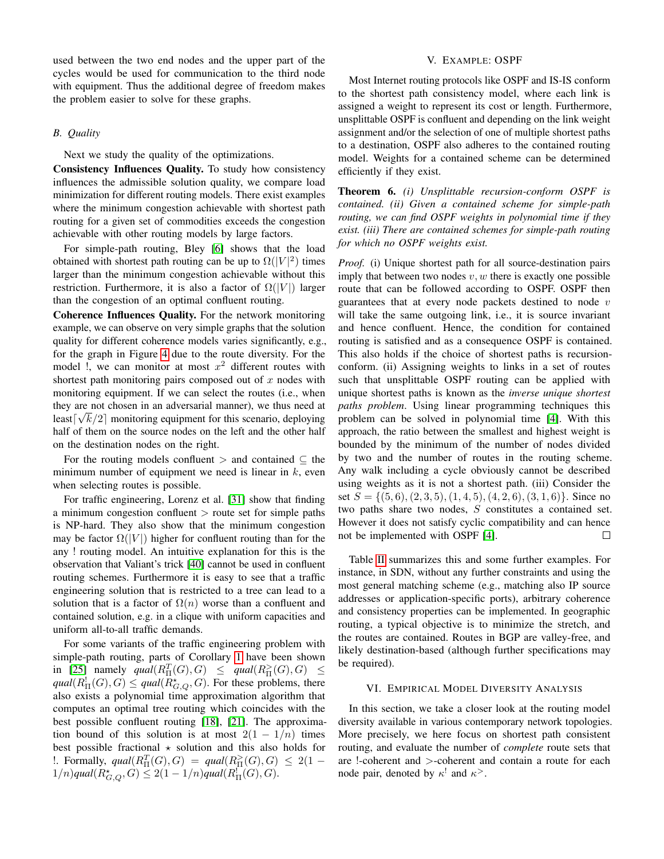used between the two end nodes and the upper part of the cycles would be used for communication to the third node with equipment. Thus the additional degree of freedom makes the problem easier to solve for these graphs.

## *B. Quality*

Next we study the quality of the optimizations.

Consistency Influences Quality. To study how consistency influences the admissible solution quality, we compare load minimization for different routing models. There exist examples where the minimum congestion achievable with shortest path routing for a given set of commodities exceeds the congestion achievable with other routing models by large factors.

For simple-path routing, Bley [\[6\]](#page-11-23) shows that the load obtained with shortest path routing can be up to  $\Omega(|V|^2)$  times larger than the minimum congestion achievable without this restriction. Furthermore, it is also a factor of  $\Omega(|V|)$  larger than the congestion of an optimal confluent routing.

Coherence Influences Quality. For the network monitoring example, we can observe on very simple graphs that the solution quality for different coherence models varies significantly, e.g., for the graph in Figure [4](#page-5-0) due to the route diversity. For the model !, we can monitor at most  $x^2$  different routes with shortest path monitoring pairs composed out of  $x$  nodes with monitoring equipment. If we can select the routes (i.e., when they are not chosen in an adversarial manner), we thus need at least $\lceil \sqrt{k}/2 \rceil$  monitoring equipment for this scenario, deploying half of them on the source nodes on the left and the other half on the destination nodes on the right.

For the routing models confluent  $>$  and contained  $\subseteq$  the minimum number of equipment we need is linear in  $k$ , even when selecting routes is possible.

For traffic engineering, Lorenz et al. [\[31\]](#page-11-24) show that finding a minimum congestion confluent  $\gt$  route set for simple paths is NP-hard. They also show that the minimum congestion may be factor  $\Omega(|V|)$  higher for confluent routing than for the any ! routing model. An intuitive explanation for this is the observation that Valiant's trick [\[40\]](#page-12-6) cannot be used in confluent routing schemes. Furthermore it is easy to see that a traffic engineering solution that is restricted to a tree can lead to a solution that is a factor of  $\Omega(n)$  worse than a confluent and contained solution, e.g. in a clique with uniform capacities and uniform all-to-all traffic demands.

For some variants of the traffic engineering problem with simple-path routing, parts of Corollary [1](#page-6-0) have been shown in [\[25\]](#page-11-25) namely  $qual(R_{\Pi}^{T}(G), G) \leq qual(R_{\Pi}^{>}(G), G) \leq$  $qual(R_{\Pi}^!(G), G) \le qual(R_{G,Q}^*, G)$ . For these problems, there also exists a polynomial time approximation algorithm that computes an optimal tree routing which coincides with the best possible confluent routing [\[18\]](#page-11-21), [\[21\]](#page-11-22). The approximation bound of this solution is at most  $2(1 - 1/n)$  times best possible fractional  $\star$  solution and this also holds for 1. Formally,  $qual(R_{\Pi}^T(G), G) = qual(R_{\Pi}^>(G), G) \leq 2(1 1/n)$ qual $(R^{\star}_{G,Q}, G) \leq 2(1 - 1/n)$ qual $(R^!_{\Pi}(G), G)$ .

## V. EXAMPLE: OSPF

<span id="page-8-0"></span>Most Internet routing protocols like OSPF and IS-IS conform to the shortest path consistency model, where each link is assigned a weight to represent its cost or length. Furthermore, unsplittable OSPF is confluent and depending on the link weight assignment and/or the selection of one of multiple shortest paths to a destination, OSPF also adheres to the contained routing model. Weights for a contained scheme can be determined efficiently if they exist.

Theorem 6. *(i) Unsplittable recursion-conform OSPF is contained. (ii) Given a contained scheme for simple-path routing, we can find OSPF weights in polynomial time if they exist. (iii) There are contained schemes for simple-path routing for which no OSPF weights exist.*

*Proof.* (i) Unique shortest path for all source-destination pairs imply that between two nodes  $v, w$  there is exactly one possible route that can be followed according to OSPF. OSPF then guarantees that at every node packets destined to node  $v$ will take the same outgoing link, i.e., it is source invariant and hence confluent. Hence, the condition for contained routing is satisfied and as a consequence OSPF is contained. This also holds if the choice of shortest paths is recursionconform. (ii) Assigning weights to links in a set of routes such that unsplittable OSPF routing can be applied with unique shortest paths is known as the *inverse unique shortest paths problem*. Using linear programming techniques this problem can be solved in polynomial time [\[4\]](#page-11-26). With this approach, the ratio between the smallest and highest weight is bounded by the minimum of the number of nodes divided by two and the number of routes in the routing scheme. Any walk including a cycle obviously cannot be described using weights as it is not a shortest path. (iii) Consider the set  $S = \{(5,6), (2, 3, 5), (1, 4, 5), (4, 2, 6), (3, 1, 6)\}.$  Since no two paths share two nodes, S constitutes a contained set. However it does not satisfy cyclic compatibility and can hence not be implemented with OSPF [\[4\]](#page-11-26).  $\Box$ 

Table [II](#page-9-0) summarizes this and some further examples. For instance, in SDN, without any further constraints and using the most general matching scheme (e.g., matching also IP source addresses or application-specific ports), arbitrary coherence and consistency properties can be implemented. In geographic routing, a typical objective is to minimize the stretch, and the routes are contained. Routes in BGP are valley-free, and likely destination-based (although further specifications may be required).

## VI. EMPIRICAL MODEL DIVERSITY ANALYSIS

In this section, we take a closer look at the routing model diversity available in various contemporary network topologies. More precisely, we here focus on shortest path consistent routing, and evaluate the number of *complete* route sets that are !-coherent and >-coherent and contain a route for each node pair, denoted by  $\kappa^!$  and  $\kappa^>$ .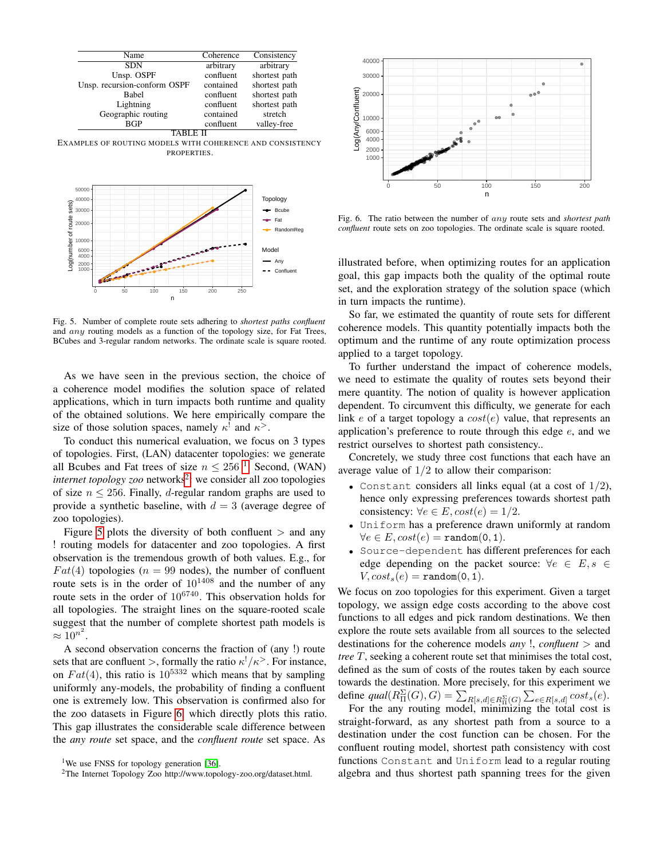

EXAMPLES OF ROUTING MODELS WITH COHERENCE AND CONSISTENCY **PROPERTIES.** 



Fig. 5. Number of complete route sets adhering to *shortest paths confluent* and any routing models as a function of the topology size, for Fat Trees, BCubes and 3-regular random networks. The ordinate scale is square rooted.

As we have seen in the previous section, the choice of a coherence model modifies the solution space of related applications, which in turn impacts both runtime and quality of the obtained solutions. We here empirically compare the size of those solution spaces, namely  $\kappa^!$  and  $\kappa^>$ .

To conduct this numerical evaluation, we focus on 3 types of topologies. First, (LAN) datacenter topologies: we generate all Bcubes and Fat trees of size  $n \le 256$ <sup>[1](#page-9-1)</sup>. Second, (WAN) internet topology zoo networks<sup>[2](#page-9-2)</sup>: we consider all zoo topologies of size  $n \le 256$ . Finally, *d*-regular random graphs are used to provide a synthetic baseline, with  $d = 3$  (average degree of zoo topologies).

Figure [5](#page-9-3) plots the diversity of both confluent  $>$  and any ! routing models for datacenter and zoo topologies. A first observation is the tremendous growth of both values. E.g., for  $Fat(4)$  topologies ( $n = 99$  nodes), the number of confluent route sets is in the order of  $10^{1408}$  and the number of any route sets in the order of  $10^{6740}$ . This observation holds for all topologies. The straight lines on the square-rooted scale suggest that the number of complete shortest path models is  $\approx 10^{n^2}$ .

A second observation concerns the fraction of (any !) route sets that are confluent >, formally the ratio  $\kappa^!/\kappa^>$ . For instance, on  $Fat(4)$ , this ratio is  $10^{5332}$  which means that by sampling uniformly any-models, the probability of finding a confluent one is extremely low. This observation is confirmed also for the zoo datasets in Figure [6,](#page-9-4) which directly plots this ratio. This gap illustrates the considerable scale difference between the *any route* set space, and the *confluent route* set space. As

<span id="page-9-0"></span>

<span id="page-9-4"></span>Fig. 6. The ratio between the number of any route sets and *shortest path confluent* route sets on zoo topologies. The ordinate scale is square rooted.

illustrated before, when optimizing routes for an application goal, this gap impacts both the quality of the optimal route set, and the exploration strategy of the solution space (which in turn impacts the runtime).

<span id="page-9-3"></span>So far, we estimated the quantity of route sets for different coherence models. This quantity potentially impacts both the optimum and the runtime of any route optimization process applied to a target topology.

To further understand the impact of coherence models, we need to estimate the quality of routes sets beyond their mere quantity. The notion of quality is however application dependent. To circumvent this difficulty, we generate for each link e of a target topology a  $cost(e)$  value, that represents an application's preference to route through this edge  $e$ , and we restrict ourselves to shortest path consistency..

Concretely, we study three cost functions that each have an average value of  $1/2$  to allow their comparison:

- Constant considers all links equal (at a cost of  $1/2$ ), hence only expressing preferences towards shortest path consistency:  $\forall e \in E, cost(e) = 1/2.$
- Uniform has a preference drawn uniformly at random  $\forall e \in E, cost(e) = \texttt{random}(0, 1).$
- Source-dependent has different preferences for each edge depending on the packet source:  $\forall e \in E, s \in$  $V, cost_s(e) = \texttt{random}(0, 1).$

We focus on zoo topologies for this experiment. Given a target topology, we assign edge costs according to the above cost functions to all edges and pick random destinations. We then explore the route sets available from all sources to the selected destinations for the coherence models *any* !, *confluent* > and *tree* T, seeking a coherent route set that minimises the total cost, defined as the sum of costs of the routes taken by each source towards the destination. More precisely, for this experiment we define  $qual(R_{\Pi}^{\Sigma}(G), G) = \sum_{R[s,d] \in R_{\Pi}^{\Sigma}(G)} \sum_{e \in R[s,d]} cost_s(e).$ 

For the any routing model, minimizing the total cost is straight-forward, as any shortest path from a source to a destination under the cost function can be chosen. For the confluent routing model, shortest path consistency with cost functions Constant and Uniform lead to a regular routing algebra and thus shortest path spanning trees for the given

<span id="page-9-1"></span><sup>&</sup>lt;sup>1</sup>We use FNSS for topology generation [\[36\]](#page-12-7).

<span id="page-9-2"></span><sup>2</sup>The Internet Topology Zoo http://www.topology-zoo.org/dataset.html.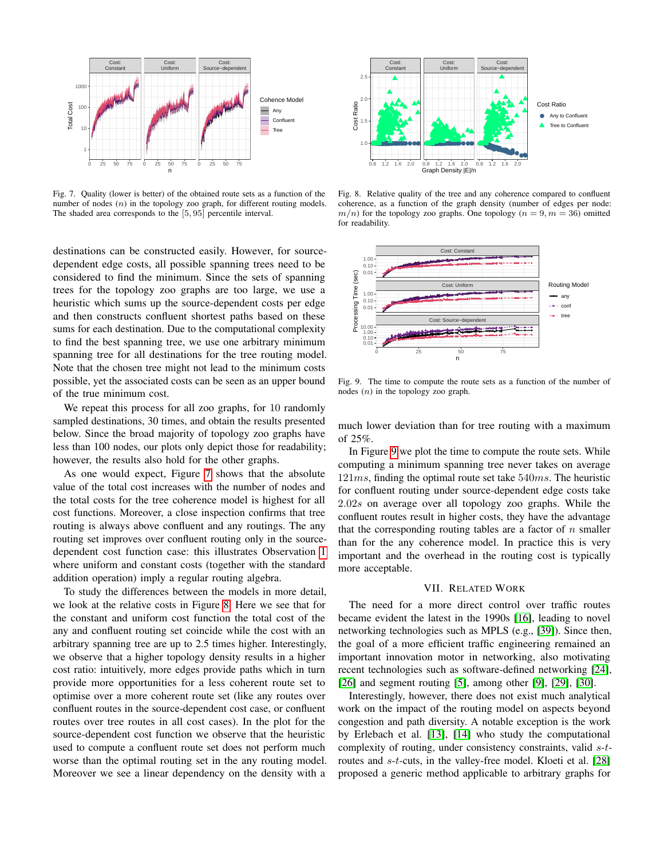

Fig. 7. Quality (lower is better) of the obtained route sets as a function of the number of nodes  $(n)$  in the topology zoo graph, for different routing models. The shaded area corresponds to the [5, 95] percentile interval.

destinations can be constructed easily. However, for sourcedependent edge costs, all possible spanning trees need to be considered to find the minimum. Since the sets of spanning trees for the topology zoo graphs are too large, we use a heuristic which sums up the source-dependent costs per edge and then constructs confluent shortest paths based on these sums for each destination. Due to the computational complexity to find the best spanning tree, we use one arbitrary minimum spanning tree for all destinations for the tree routing model. Note that the chosen tree might not lead to the minimum costs possible, yet the associated costs can be seen as an upper bound of the true minimum cost.

We repeat this process for all zoo graphs, for 10 randomly sampled destinations, 30 times, and obtain the results presented below. Since the broad majority of topology zoo graphs have less than 100 nodes, our plots only depict those for readability; however, the results also hold for the other graphs.

As one would expect, Figure [7](#page-10-1) shows that the absolute value of the total cost increases with the number of nodes and the total costs for the tree coherence model is highest for all cost functions. Moreover, a close inspection confirms that tree routing is always above confluent and any routings. The any routing set improves over confluent routing only in the sourcedependent cost function case: this illustrates Observation [1](#page-6-1) where uniform and constant costs (together with the standard addition operation) imply a regular routing algebra.

To study the differences between the models in more detail, we look at the relative costs in Figure [8.](#page-10-2) Here we see that for the constant and uniform cost function the total cost of the any and confluent routing set coincide while the cost with an arbitrary spanning tree are up to 2.5 times higher. Interestingly, we observe that a higher topology density results in a higher cost ratio: intuitively, more edges provide paths which in turn provide more opportunities for a less coherent route set to optimise over a more coherent route set (like any routes over confluent routes in the source-dependent cost case, or confluent routes over tree routes in all cost cases). In the plot for the source-dependent cost function we observe that the heuristic used to compute a confluent route set does not perform much worse than the optimal routing set in the any routing model. Moreover we see a linear dependency on the density with a



<span id="page-10-2"></span><span id="page-10-1"></span>Fig. 8. Relative quality of the tree and any coherence compared to confluent coherence, as a function of the graph density (number of edges per node:  $m/n$ ) for the topology zoo graphs. One topology ( $n = 9, m = 36$ ) omitted for readability.



<span id="page-10-3"></span>Fig. 9. The time to compute the route sets as a function of the number of nodes (n) in the topology zoo graph.

much lower deviation than for tree routing with a maximum of 25%.

In Figure [9](#page-10-3) we plot the time to compute the route sets. While computing a minimum spanning tree never takes on average  $121ms$ , finding the optimal route set take  $540ms$ . The heuristic for confluent routing under source-dependent edge costs take 2.02s on average over all topology zoo graphs. While the confluent routes result in higher costs, they have the advantage that the corresponding routing tables are a factor of  $n$  smaller than for the any coherence model. In practice this is very important and the overhead in the routing cost is typically more acceptable.

## VII. RELATED WORK

<span id="page-10-0"></span>The need for a more direct control over traffic routes became evident the latest in the 1990s [\[16\]](#page-11-0), leading to novel networking technologies such as MPLS (e.g., [\[39\]](#page-12-0)). Since then, the goal of a more efficient traffic engineering remained an important innovation motor in networking, also motivating recent technologies such as software-defined networking [\[24\]](#page-11-27), [\[26\]](#page-11-28) and segment routing [\[5\]](#page-11-5), among other [\[9\]](#page-11-1), [\[29\]](#page-11-2), [\[30\]](#page-11-3).

Interestingly, however, there does not exist much analytical work on the impact of the routing model on aspects beyond congestion and path diversity. A notable exception is the work by Erlebach et al. [\[13\]](#page-11-29), [\[14\]](#page-11-30) who study the computational complexity of routing, under consistency constraints, valid s-t-routes and s-t-cuts, in the valley-free model. Kloeti et al. [\[28\]](#page-11-7) proposed a generic method applicable to arbitrary graphs for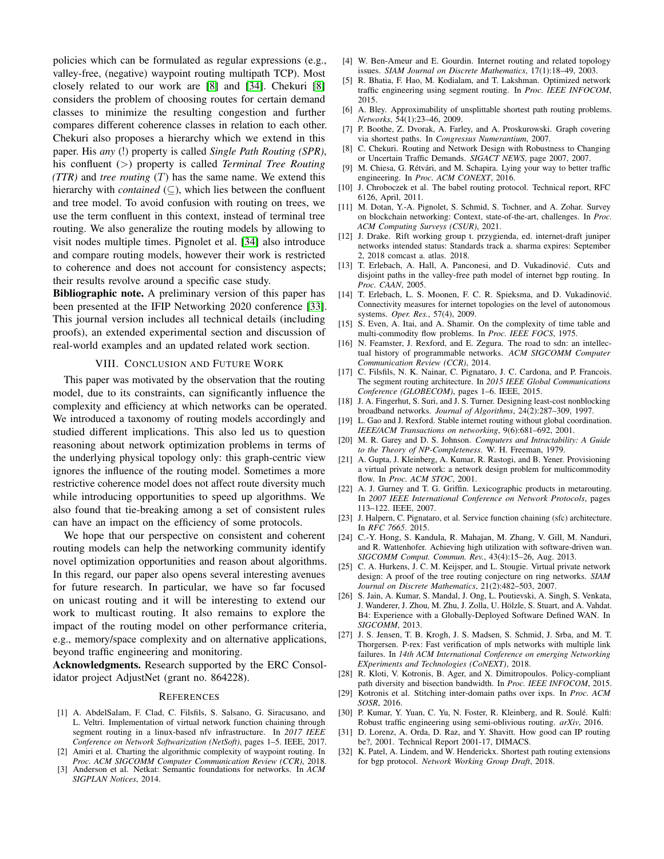policies which can be formulated as regular expressions (e.g., valley-free, (negative) waypoint routing multipath TCP). Most closely related to our work are [\[8\]](#page-11-31) and [\[34\]](#page-12-5). Chekuri [\[8\]](#page-11-31) considers the problem of choosing routes for certain demand classes to minimize the resulting congestion and further compares different coherence classes in relation to each other. Chekuri also proposes a hierarchy which we extend in this paper. His *any* (!) property is called *Single Path Routing (SPR)*, his confluent (>) property is called *Terminal Tree Routing (TTR)* and *tree routing* (T) has the same name. We extend this hierarchy with *contained* (⊆), which lies between the confluent and tree model. To avoid confusion with routing on trees, we use the term confluent in this context, instead of terminal tree routing. We also generalize the routing models by allowing to visit nodes multiple times. Pignolet et al. [\[34\]](#page-12-5) also introduce and compare routing models, however their work is restricted to coherence and does not account for consistency aspects; their results revolve around a specific case study.

Bibliographic note. A preliminary version of this paper has been presented at the IFIP Networking 2020 conference [\[33\]](#page-12-8). This journal version includes all technical details (including proofs), an extended experimental section and discussion of real-world examples and an updated related work section.

## VIII. CONCLUSION AND FUTURE WORK

<span id="page-11-14"></span>This paper was motivated by the observation that the routing model, due to its constraints, can significantly influence the complexity and efficiency at which networks can be operated. We introduced a taxonomy of routing models accordingly and studied different implications. This also led us to question reasoning about network optimization problems in terms of the underlying physical topology only: this graph-centric view ignores the influence of the routing model. Sometimes a more restrictive coherence model does not affect route diversity much while introducing opportunities to speed up algorithms. We also found that tie-breaking among a set of consistent rules can have an impact on the efficiency of some protocols.

We hope that our perspective on consistent and coherent routing models can help the networking community identify novel optimization opportunities and reason about algorithms. In this regard, our paper also opens several interesting avenues for future research. In particular, we have so far focused on unicast routing and it will be interesting to extend our work to multicast routing. It also remains to explore the impact of the routing model on other performance criteria, e.g., memory/space complexity and on alternative applications, beyond traffic engineering and monitoring.

Acknowledgments. Research supported by the ERC Consolidator project AdjustNet (grant no. 864228).

#### **REFERENCES**

- <span id="page-11-8"></span>[1] A. AbdelSalam, F. Clad, C. Filsfils, S. Salsano, G. Siracusano, and L. Veltri. Implementation of virtual network function chaining through segment routing in a linux-based nfv infrastructure. In *2017 IEEE Conference on Network Softwarization (NetSoft)*, pages 1–5. IEEE, 2017.
- <span id="page-11-4"></span>[2] Amiri et al. Charting the algorithmic complexity of waypoint routing. In *Proc. ACM SIGCOMM Computer Communication Review (CCR)*, 2018. [3] Anderson et al. Netkat: Semantic foundations for networks. In *ACM*
- <span id="page-11-18"></span>*SIGPLAN Notices*, 2014.
- <span id="page-11-26"></span>[4] W. Ben-Ameur and E. Gourdin. Internet routing and related topology issues. *SIAM Journal on Discrete Mathematics*, 17(1):18–49, 2003.
- <span id="page-11-5"></span>[5] R. Bhatia, F. Hao, M. Kodialam, and T. Lakshman. Optimized network traffic engineering using segment routing. In *Proc. IEEE INFOCOM*, 2015.
- <span id="page-11-23"></span>[6] A. Bley. Approximability of unsplittable shortest path routing problems. *Networks*, 54(1):23–46, 2009.
- <span id="page-11-19"></span>[7] P. Boothe, Z. Dvorak, A. Farley, and A. Proskurowski. Graph covering via shortest paths. In *Congressus Numerantium*, 2007.
- <span id="page-11-31"></span>[8] C. Chekuri. Routing and Network Design with Robustness to Changing or Uncertain Traffic Demands. *SIGACT NEWS*, page 2007, 2007.
- <span id="page-11-1"></span>[9] M. Chiesa, G. Rétvári, and M. Schapira. Lying your way to better traffic engineering. In *Proc. ACM CONEXT*, 2016.
- <span id="page-11-13"></span>[10] J. Chroboczek et al. The babel routing protocol. Technical report, RFC 6126, April, 2011.
- <span id="page-11-12"></span>[11] M. Dotan, Y.-A. Pignolet, S. Schmid, S. Tochner, and A. Zohar. Survey on blockchain networking: Context, state-of-the-art, challenges. In *Proc. ACM Computing Surveys (CSUR)*, 2021.
- <span id="page-11-10"></span>[12] J. Drake. Rift working group t. przygienda, ed. internet-draft juniper networks intended status: Standards track a. sharma expires: September 2, 2018 comcast a. atlas. 2018.
- <span id="page-11-29"></span>[13] T. Erlebach, A. Hall, A. Panconesi, and D. Vukadinović. Cuts and disjoint paths in the valley-free path model of internet bgp routing. In *Proc. CAAN*, 2005.
- <span id="page-11-30"></span>[14] T. Erlebach, L. S. Moonen, F. C. R. Spieksma, and D. Vukadinović. Connectivity measures for internet topologies on the level of autonomous systems. *Oper. Res.*, 57(4), 2009.
- <span id="page-11-20"></span>[15] S. Even, A. Itai, and A. Shamir. On the complexity of time table and multi-commodity flow problems. In *Proc. IEEE FOCS*, 1975.
- <span id="page-11-0"></span>[16] N. Feamster, J. Rexford, and E. Zegura. The road to sdn: an intellectual history of programmable networks. *ACM SIGCOMM Computer Communication Review (CCR)*, 2014.
- <span id="page-11-9"></span>[17] C. Filsfils, N. K. Nainar, C. Pignataro, J. C. Cardona, and P. Francois. The segment routing architecture. In *2015 IEEE Global Communications Conference (GLOBECOM)*, pages 1–6. IEEE, 2015.
- <span id="page-11-21"></span>[18] J. A. Fingerhut, S. Suri, and J. S. Turner. Designing least-cost nonblocking broadband networks. *Journal of Algorithms*, 24(2):287–309, 1997.
- <span id="page-11-6"></span>[19] L. Gao and J. Rexford. Stable internet routing without global coordination. *IEEE/ACM Transactions on networking*, 9(6):681–692, 2001.
- <span id="page-11-32"></span>[20] M. R. Garey and D. S. Johnson. *Computers and Intractability: A Guide to the Theory of NP-Completeness*. W. H. Freeman, 1979.
- <span id="page-11-22"></span>[21] A. Gupta, J. Kleinberg, A. Kumar, R. Rastogi, and B. Yener. Provisioning a virtual private network: a network design problem for multicommodity flow. In *Proc. ACM STOC*, 2001.
- <span id="page-11-17"></span>[22] A. J. Gurney and T. G. Griffin. Lexicographic products in metarouting. In *2007 IEEE International Conference on Network Protocols*, pages 113–122. IEEE, 2007.
- <span id="page-11-15"></span>[23] J. Halpern, C. Pignataro, et al. Service function chaining (sfc) architecture. In *RFC 7665*. 2015.
- <span id="page-11-27"></span>[24] C.-Y. Hong, S. Kandula, R. Mahajan, M. Zhang, V. Gill, M. Nanduri, and R. Wattenhofer. Achieving high utilization with software-driven wan. *SIGCOMM Comput. Commun. Rev.*, 43(4):15–26, Aug. 2013.
- <span id="page-11-25"></span>[25] C. A. Hurkens, J. C. M. Keijsper, and L. Stougie. Virtual private network design: A proof of the tree routing conjecture on ring networks. *SIAM Journal on Discrete Mathematics*, 21(2):482–503, 2007.
- <span id="page-11-28"></span>[26] S. Jain, A. Kumar, S. Mandal, J. Ong, L. Poutievski, A. Singh, S. Venkata, J. Wanderer, J. Zhou, M. Zhu, J. Zolla, U. Holzle, S. Stuart, and A. Vahdat. ¨ B4: Experience with a Globally-Deployed Software Defined WAN. In *SIGCOMM*, 2013.
- <span id="page-11-16"></span>[27] J. S. Jensen, T. B. Krogh, J. S. Madsen, S. Schmid, J. Srba, and M. T. Thorgersen. P-rex: Fast verification of mpls networks with multiple link failures. In *14th ACM International Conference on emerging Networking EXperiments and Technologies (CoNEXT)*, 2018.
- <span id="page-11-7"></span>[28] R. Kloti, V. Kotronis, B. Ager, and X. Dimitropoulos. Policy-compliant path diversity and bisection bandwidth. In *Proc. IEEE INFOCOM*, 2015.
- <span id="page-11-2"></span>[29] Kotronis et al. Stitching inter-domain paths over ixps. In *Proc. ACM SOSR*, 2016.
- <span id="page-11-3"></span>[30] P. Kumar, Y. Yuan, C. Yu, N. Foster, R. Kleinberg, and R. Soulé. Kulfi: Robust traffic engineering using semi-oblivious routing. *arXiv*, 2016.
- <span id="page-11-24"></span>[31] D. Lorenz, A. Orda, D. Raz, and Y. Shavitt. How good can IP routing be?, 2001. Technical Report 2001-17, DIMACS.
- <span id="page-11-11"></span>[32] K. Patel, A. Lindem, and W. Henderickx. Shortest path routing extensions for bgp protocol. *Network Working Group Draft*, 2018.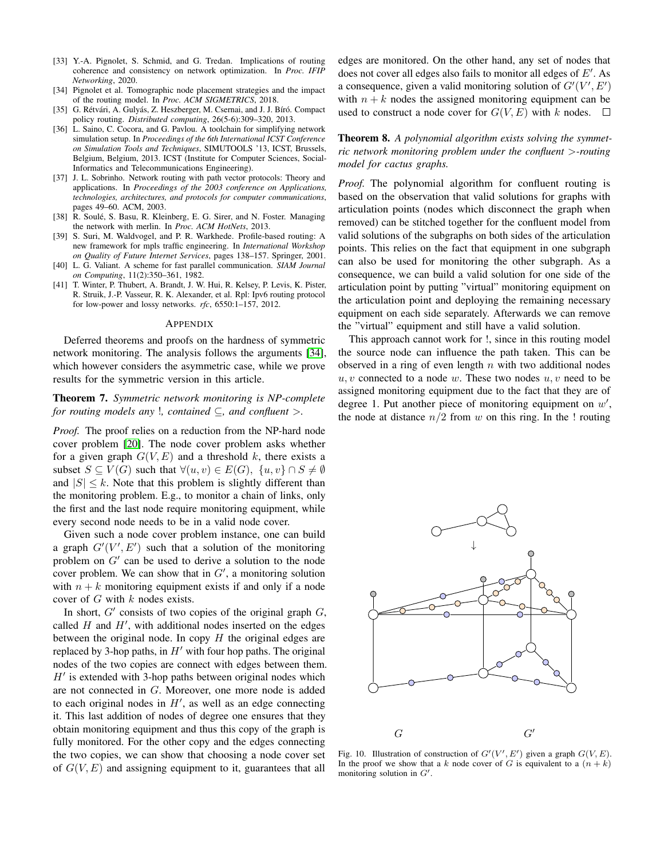- <span id="page-12-8"></span>[33] Y.-A. Pignolet, S. Schmid, and G. Tredan. Implications of routing coherence and consistency on network optimization. In *Proc. IFIP Networking*, 2020.
- <span id="page-12-5"></span>[34] Pignolet et al. Tomographic node placement strategies and the impact of the routing model. In *Proc. ACM SIGMETRICS*, 2018.
- <span id="page-12-4"></span>[35] G. Rétvári, A. Gulyás, Z. Heszberger, M. Csernai, and J. J. Bíró. Compact policy routing. *Distributed computing*, 26(5-6):309–320, 2013.
- <span id="page-12-7"></span>[36] L. Saino, C. Cocora, and G. Pavlou. A toolchain for simplifying network simulation setup. In *Proceedings of the 6th International ICST Conference on Simulation Tools and Techniques*, SIMUTOOLS '13, ICST, Brussels, Belgium, Belgium, 2013. ICST (Institute for Computer Sciences, Social-Informatics and Telecommunications Engineering).
- <span id="page-12-3"></span>[37] J. L. Sobrinho. Network routing with path vector protocols: Theory and applications. In *Proceedings of the 2003 conference on Applications, technologies, architectures, and protocols for computer communications*, pages 49–60. ACM, 2003.
- <span id="page-12-2"></span>[38] R. Soulé, S. Basu, R. Kleinberg, E. G. Sirer, and N. Foster. Managing the network with merlin. In *Proc. ACM HotNets*, 2013.
- <span id="page-12-0"></span>[39] S. Suri, M. Waldvogel, and P. R. Warkhede. Profile-based routing: A new framework for mpls traffic engineering. In *International Workshop on Quality of Future Internet Services*, pages 138–157. Springer, 2001.
- <span id="page-12-6"></span>[40] L. G. Valiant. A scheme for fast parallel communication. *SIAM Journal on Computing*, 11(2):350–361, 1982.
- <span id="page-12-1"></span>[41] T. Winter, P. Thubert, A. Brandt, J. W. Hui, R. Kelsey, P. Levis, K. Pister, R. Struik, J.-P. Vasseur, R. K. Alexander, et al. Rpl: Ipv6 routing protocol for low-power and lossy networks. *rfc*, 6550:1–157, 2012.

#### APPENDIX

Deferred theorems and proofs on the hardness of symmetric network monitoring. The analysis follows the arguments [\[34\]](#page-12-5), which however considers the asymmetric case, while we prove results for the symmetric version in this article.

# Theorem 7. *Symmetric network monitoring is NP-complete for routing models any* !*, contained* ⊆*, and confluent* >*.*

*Proof.* The proof relies on a reduction from the NP-hard node cover problem [\[20\]](#page-11-32). The node cover problem asks whether for a given graph  $G(V, E)$  and a threshold k, there exists a subset  $S \subseteq V(G)$  such that  $\forall (u, v) \in E(G)$ ,  $\{u, v\} \cap S \neq \emptyset$ and  $|S| \leq k$ . Note that this problem is slightly different than the monitoring problem. E.g., to monitor a chain of links, only the first and the last node require monitoring equipment, while every second node needs to be in a valid node cover.

Given such a node cover problem instance, one can build a graph  $G'(V', E')$  such that a solution of the monitoring problem on  $G'$  can be used to derive a solution to the node cover problem. We can show that in  $G'$ , a monitoring solution with  $n + k$  monitoring equipment exists if and only if a node  $\text{cover of } G \text{ with } k \text{ nodes exists.}$ 

In short,  $G'$  consists of two copies of the original graph  $G$ , m short,  $\sigma$  consists of two copies of the original graph  $\sigma$ ,<br>called *H* and *H'*, with additional nodes inserted on the edges between the original node. In copy  $H$  the original edges are replaced by 3-hop paths, in  $H'$  with four hop paths. The original nodes of the two copies are connect with edges between them.  $H'$  is extended with 3-hop paths between original nodes which are not connected in  $G$ . Moreover, one more node is added to each original nodes in  $H'$ , as well as an edge connecting it. This last addition of nodes of degree one ensures that they obtain monitoring equipment and thus this copy of the graph is fully monitored. For the other copy and the edges connecting the two copies, we can show that choosing a node cover set Fig of  $G(V, E)$  and assigning equipment to it, guarantees that all  $\frac{\ln \text{th}}{\text{mon}}$  $\frac{1}{2}$  for an order of the set of the speed is set of the speed is  $\lim_{m \to \infty}$  equipment to it, guarantees that an  $\lim_{m \to \infty}$ 

edges are monitored. On the other hand, any set of nodes that does not cover all edges also fails to monitor all edges of  $E'$ . As a consequence, given a valid monitoring solution of  $G'(V', E')$ with  $n + k$  nodes the assigned monitoring equipment can be used to construct a node cover for  $G(V, E)$  with k nodes.  $\Box$ 

Theorem 8. *A polynomial algorithm exists solving the symmetric network monitoring problem under the confluent* >*-routing model for cactus graphs.*

*Proof.* The polynomial algorithm for confluent routing is based on the observation that valid solutions for graphs with articulation points (nodes which disconnect the graph when removed) can be stitched together for the confluent model from valid solutions of the subgraphs on both sides of the articulation points. This relies on the fact that equipment in one subgraph can also be used for monitoring the other subgraph. As a consequence, we can build a valid solution for one side of the articulation point by putting "virtual" monitoring equipment on the articulation point and deploying the remaining necessary equipment on each side separately. Afterwards we can remove the "virtual" equipment and still have a valid solution.

This approach cannot work for !, since in this routing model the source node can influence the path taken. This can be observed in a ring of even length  $n$  with two additional nodes  $u, v$  connected to a node  $w$ . These two nodes  $u, v$  need to be assigned monitoring equipment due to the fact that they are of degree 1. Put another piece of monitoring equipment on  $w'$ , the node at distance  $n/2$  from w on this ring. In the ! routing



Fig. 10. Illustration of construction of  $G'(V', E')$  given a graph  $G(V, E)$ . In the proof we show that a k node cover of G is equivalent to a  $(n + k)$ that the position  $\mathbb{R}^n$ .<br>monitoring solution in  $G'$ . Given a set cover problem instance, we construct a cactus